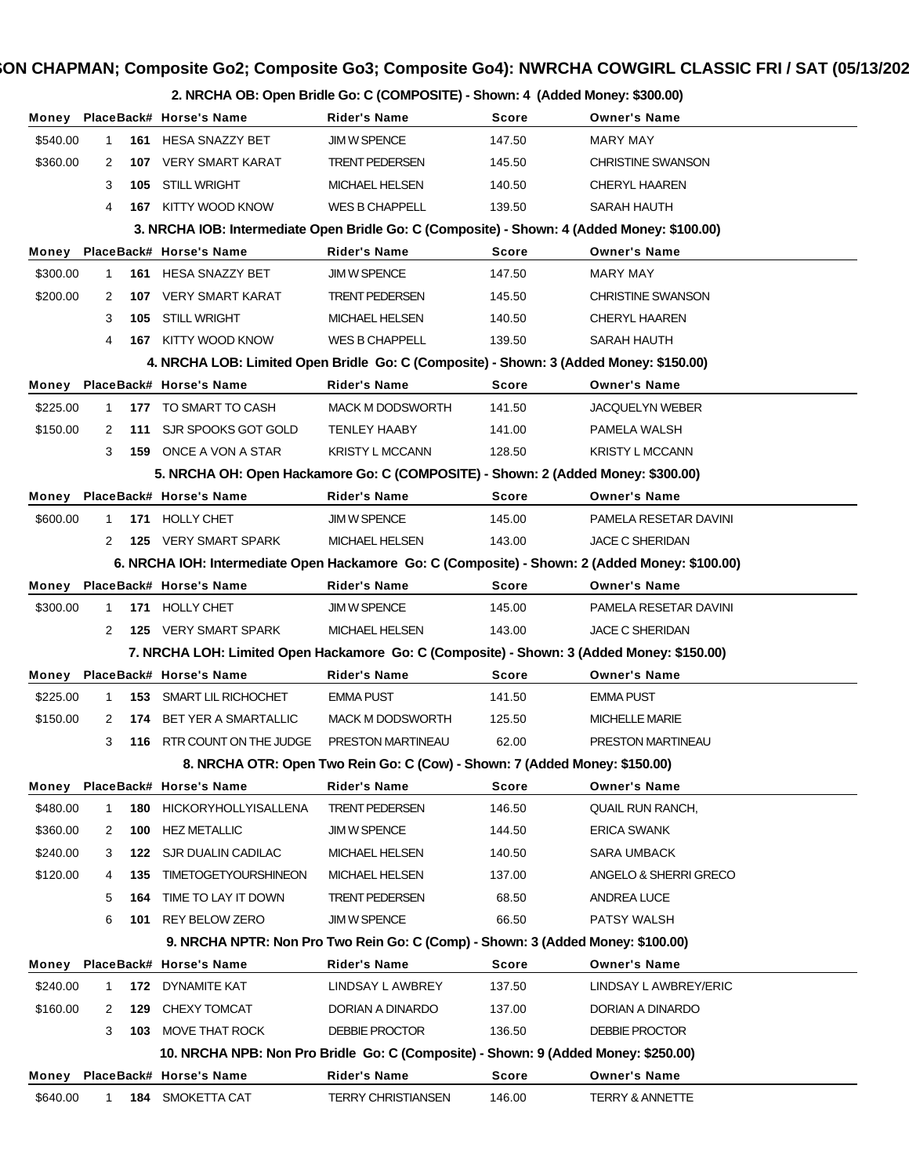|          |              |     |                                                                                             | 2. NRCHA OB: Open Bridle Go: C (COMPOSITE) - Shown: 4 (Added Money: \$300.00)   |              |                                                                                                |
|----------|--------------|-----|---------------------------------------------------------------------------------------------|---------------------------------------------------------------------------------|--------------|------------------------------------------------------------------------------------------------|
|          |              |     | Money PlaceBack# Horse's Name                                                               | <b>Rider's Name</b>                                                             | <b>Score</b> | <b>Owner's Name</b>                                                                            |
| \$540.00 | $\mathbf{1}$ |     | 161 HESA SNAZZY BET                                                                         | <b>JIM W SPENCE</b>                                                             | 147.50       | <b>MARY MAY</b>                                                                                |
| \$360.00 | 2            |     | 107 VERY SMART KARAT                                                                        | TRENT PEDERSEN                                                                  | 145.50       | <b>CHRISTINE SWANSON</b>                                                                       |
|          | 3            | 105 | STILL WRIGHT                                                                                | MICHAEL HELSEN                                                                  | 140.50       | <b>CHERYL HAAREN</b>                                                                           |
|          | 4            |     | 167 KITTY WOOD KNOW                                                                         | <b>WES B CHAPPELL</b>                                                           | 139.50       | SARAH HAUTH                                                                                    |
|          |              |     | 3. NRCHA IOB: Intermediate Open Bridle Go: C (Composite) - Shown: 4 (Added Money: \$100.00) |                                                                                 |              |                                                                                                |
|          |              |     | Money PlaceBack# Horse's Name                                                               | <b>Rider's Name</b>                                                             | <b>Score</b> | <b>Owner's Name</b>                                                                            |
| \$300.00 | 1            |     | 161 HESA SNAZZY BET                                                                         | <b>JIM W SPENCE</b>                                                             | 147.50       | <b>MARY MAY</b>                                                                                |
| \$200.00 | 2            | 107 | VERY SMART KARAT                                                                            | TRENT PEDERSEN                                                                  | 145.50       | <b>CHRISTINE SWANSON</b>                                                                       |
|          | 3            | 105 | <b>STILL WRIGHT</b>                                                                         | MICHAEL HELSEN                                                                  | 140.50       | <b>CHERYL HAAREN</b>                                                                           |
|          | 4            |     | 167 KITTY WOOD KNOW                                                                         | <b>WES B CHAPPELL</b>                                                           | 139.50       | SARAH HAUTH                                                                                    |
|          |              |     | 4. NRCHA LOB: Limited Open Bridle Go: C (Composite) - Shown: 3 (Added Money: \$150.00)      |                                                                                 |              |                                                                                                |
|          |              |     | Money PlaceBack# Horse's Name                                                               | <b>Rider's Name</b>                                                             | <b>Score</b> | <b>Owner's Name</b>                                                                            |
| \$225.00 | 1            |     | 177 TO SMART TO CASH                                                                        | <b>MACK M DODSWORTH</b>                                                         | 141.50       | <b>JACQUELYN WEBER</b>                                                                         |
| \$150.00 | 2            |     | 111 SJR SPOOKS GOT GOLD                                                                     | <b>TENLEY HAABY</b>                                                             | 141.00       | PAMELA WALSH                                                                                   |
|          | 3            |     | 159 ONCE A VON A STAR                                                                       | <b>KRISTY L MCCANN</b>                                                          | 128.50       | <b>KRISTY L MCCANN</b>                                                                         |
|          |              |     | 5. NRCHA OH: Open Hackamore Go: C (COMPOSITE) - Shown: 2 (Added Money: \$300.00)            |                                                                                 |              |                                                                                                |
| Money    |              |     | PlaceBack# Horse's Name                                                                     | <b>Rider's Name</b>                                                             | <b>Score</b> | <b>Owner's Name</b>                                                                            |
| \$600.00 | 1            | 171 | HOLLY CHET                                                                                  | <b>JIM W SPENCE</b>                                                             | 145.00       | PAMELA RESETAR DAVINI                                                                          |
|          | 2            |     | 125 VERY SMART SPARK                                                                        | MICHAEL HELSEN                                                                  | 143.00       | <b>JACE C SHERIDAN</b>                                                                         |
|          |              |     |                                                                                             |                                                                                 |              | 6. NRCHA IOH: Intermediate Open Hackamore Go: C (Composite) - Shown: 2 (Added Money: \$100.00) |
| Money    |              |     | PlaceBack# Horse's Name                                                                     | <b>Rider's Name</b>                                                             | <b>Score</b> | <b>Owner's Name</b>                                                                            |
| \$300.00 | 1            | 171 | <b>HOLLY CHET</b>                                                                           | <b>JIM W SPENCE</b>                                                             | 145.00       | PAMELA RESETAR DAVINI                                                                          |
|          | 2            |     | 125 VERY SMART SPARK                                                                        | <b>MICHAEL HELSEN</b>                                                           | 143.00       | <b>JACE C SHERIDAN</b>                                                                         |
|          |              |     | 7. NRCHA LOH: Limited Open Hackamore Go: C (Composite) - Shown: 3 (Added Money: \$150.00)   |                                                                                 |              |                                                                                                |
|          |              |     | Money PlaceBack# Horse's Name                                                               | <b>Rider's Name</b>                                                             | <b>Score</b> | <b>Owner's Name</b>                                                                            |
| \$225.00 | $\mathbf 1$  | 153 | SMART LIL RICHOCHET                                                                         | <b>EMMA PUST</b>                                                                | 141.50       | <b>EMMA PUST</b>                                                                               |
| \$150.00 | 2            | 174 | BET YER A SMARTALLIC                                                                        | <b>MACK M DODSWORTH</b>                                                         | 125.50       | <b>MICHELLE MARIE</b>                                                                          |
|          | 3            | 116 | RTR COUNT ON THE JUDGE                                                                      | PRESTON MARTINEAU                                                               | 62.00        | PRESTON MARTINEAU                                                                              |
|          |              |     |                                                                                             | 8. NRCHA OTR: Open Two Rein Go: C (Cow) - Shown: 7 (Added Money: \$150.00)      |              |                                                                                                |
|          |              |     | Money PlaceBack# Horse's Name                                                               | <b>Rider's Name</b>                                                             | <b>Score</b> | <b>Owner's Name</b>                                                                            |
| \$480.00 | 1            | 180 | <b>HICKORYHOLLYISALLENA</b>                                                                 | <b>TRENT PEDERSEN</b>                                                           | 146.50       | QUAIL RUN RANCH,                                                                               |
| \$360.00 | 2            | 100 | <b>HEZ METALLIC</b>                                                                         | JIM W SPENCE                                                                    | 144.50       | <b>ERICA SWANK</b>                                                                             |
| \$240.00 | 3            | 122 | SJR DUALIN CADILAC                                                                          | MICHAEL HELSEN                                                                  | 140.50       | SARA UMBACK                                                                                    |
| \$120.00 | 4            | 135 | <b>TIMETOGETYOURSHINEON</b>                                                                 | MICHAEL HELSEN                                                                  | 137.00       | ANGELO & SHERRI GRECO                                                                          |
|          | 5            | 164 | TIME TO LAY IT DOWN                                                                         | <b>TRENT PEDERSEN</b>                                                           | 68.50        | ANDREA LUCE                                                                                    |
|          | 6            | 101 | REY BELOW ZERO                                                                              | JIM W SPENCE                                                                    | 66.50        | PATSY WALSH                                                                                    |
|          |              |     |                                                                                             | 9. NRCHA NPTR: Non Pro Two Rein Go: C (Comp) - Shown: 3 (Added Money: \$100.00) |              |                                                                                                |
|          |              |     | Money PlaceBack# Horse's Name                                                               | <b>Rider's Name</b>                                                             | <b>Score</b> | <b>Owner's Name</b>                                                                            |
| \$240.00 | 1            | 172 | DYNAMITE KAT                                                                                | LINDSAY L AWBREY                                                                | 137.50       | LINDSAY L AWBREY/ERIC                                                                          |
| \$160.00 | 2            | 129 | CHEXY TOMCAT                                                                                | DORIAN A DINARDO                                                                | 137.00       | DORIAN A DINARDO                                                                               |
|          | 3            |     | 103 MOVE THAT ROCK                                                                          | DEBBIE PROCTOR                                                                  | 136.50       | DEBBIE PROCTOR                                                                                 |
|          |              |     | 10. NRCHA NPB: Non Pro Bridle Go: C (Composite) - Shown: 9 (Added Money: \$250.00)          |                                                                                 |              |                                                                                                |
| Money    |              |     | PlaceBack# Horse's Name                                                                     | <b>Rider's Name</b>                                                             | Score        | <b>Owner's Name</b>                                                                            |
| \$640.00 | $\mathbf{1}$ |     | 184 SMOKETTA CAT                                                                            | <b>TERRY CHRISTIANSEN</b>                                                       | 146.00       | <b>TERRY &amp; ANNETTE</b>                                                                     |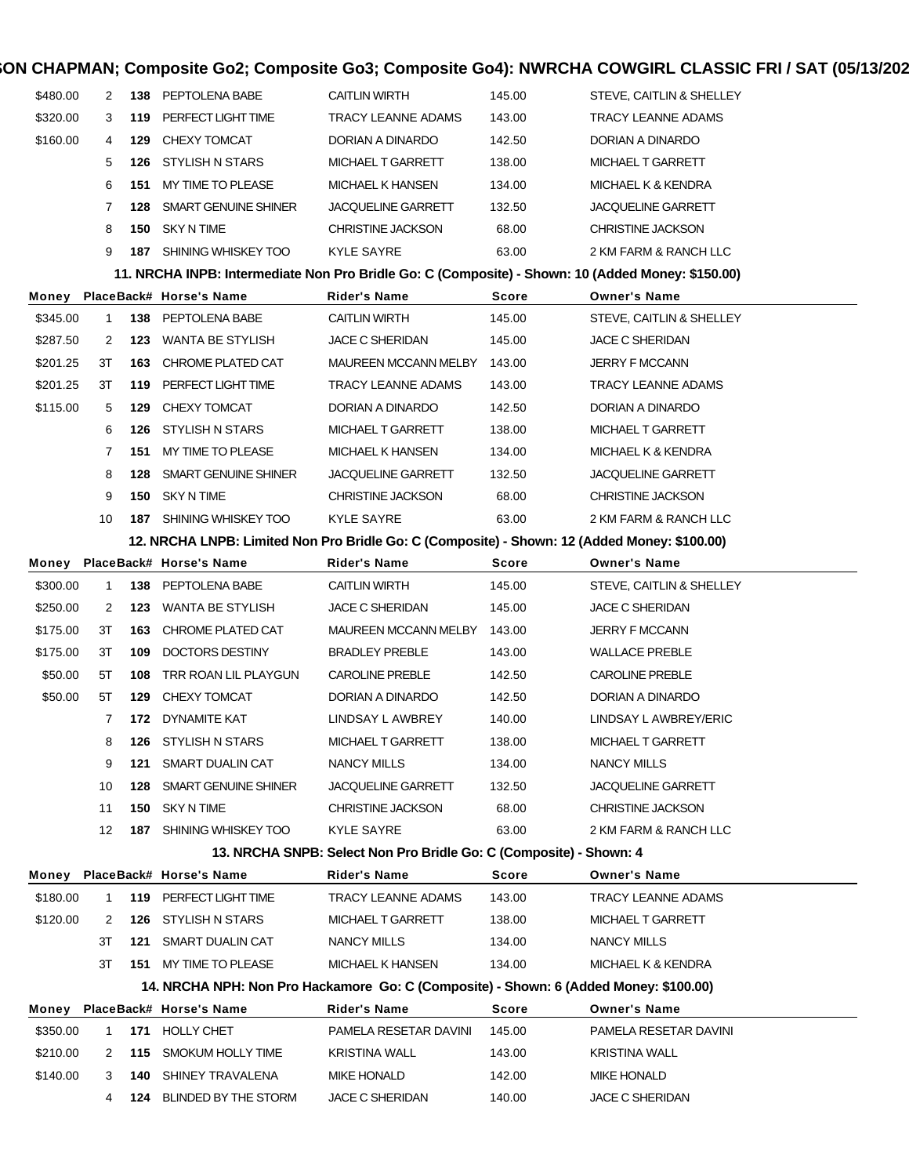| \$480.00 | 2            | 138 | PEPTOLENA BABE               | <b>CAITLIN WIRTH</b>                                                                              | 145.00       | STEVE, CAITLIN & SHELLEY  |
|----------|--------------|-----|------------------------------|---------------------------------------------------------------------------------------------------|--------------|---------------------------|
| \$320.00 | 3            | 119 | PERFECT LIGHT TIME           | TRACY LEANNE ADAMS                                                                                | 143.00       | TRACY LEANNE ADAMS        |
| \$160.00 | 4            | 129 | CHEXY TOMCAT                 | DORIAN A DINARDO                                                                                  | 142.50       | DORIAN A DINARDO          |
|          | 5            |     | <b>126 STYLISH N STARS</b>   | MICHAEL T GARRETT                                                                                 | 138.00       | MICHAEL T GARRETT         |
|          | 6            | 151 | MY TIME TO PLEASE            | <b>MICHAEL K HANSEN</b>                                                                           | 134.00       | MICHAEL K & KENDRA        |
|          | 7            | 128 | SMART GENUINE SHINER         | <b>JACQUELINE GARRETT</b>                                                                         | 132.50       | JACQUELINE GARRETT        |
|          | 8            | 150 | <b>SKY N TIME</b>            | CHRISTINE JACKSON                                                                                 | 68.00        | <b>CHRISTINE JACKSON</b>  |
|          | 9            |     | 187 SHINING WHISKEY TOO      | KYLE SAYRE                                                                                        | 63.00        | 2 KM FARM & RANCH LLC     |
|          |              |     |                              | 11. NRCHA INPB: Intermediate Non Pro Bridle Go: C (Composite) - Shown: 10 (Added Money: \$150.00) |              |                           |
| Money    |              |     | PlaceBack# Horse's Name      | Rider's Name                                                                                      | Score        | <b>Owner's Name</b>       |
| \$345.00 | $\mathbf{1}$ |     | 138 PEPTOLENA BABE           | <b>CAITLIN WIRTH</b>                                                                              | 145.00       | STEVE, CAITLIN & SHELLEY  |
| \$287.50 | 2            |     | 123 WANTA BE STYLISH         | JACE C SHERIDAN                                                                                   | 145.00       | JACE C SHERIDAN           |
| \$201.25 | ЗT           | 163 | CHROME PLATED CAT            | MAUREEN MCCANN MELBY                                                                              | 143.00       | JERRY F MCCANN            |
| \$201.25 | ЗT           | 119 | PERFECT LIGHT TIME           | <b>TRACY LEANNE ADAMS</b>                                                                         | 143.00       | TRACY LEANNE ADAMS        |
| \$115.00 | 5            | 129 | CHEXY TOMCAT                 | DORIAN A DINARDO                                                                                  | 142.50       | DORIAN A DINARDO          |
|          | 6            |     | <b>126 STYLISH N STARS</b>   | MICHAEL T GARRETT                                                                                 | 138.00       | MICHAEL T GARRETT         |
|          | 7            | 151 | MY TIME TO PLEASE            | <b>MICHAEL K HANSEN</b>                                                                           | 134.00       | MICHAEL K & KENDRA        |
|          | 8            | 128 | SMART GENUINE SHINER         | <b>JACQUELINE GARRETT</b>                                                                         | 132.50       | JACQUELINE GARRETT        |
|          | 9            | 150 | <b>SKY N TIME</b>            | CHRISTINE JACKSON                                                                                 | 68.00        | <b>CHRISTINE JACKSON</b>  |
|          | 10           |     | 187 SHINING WHISKEY TOO      | KYLE SAYRE                                                                                        | 63.00        | 2 KM FARM & RANCH LLC     |
|          |              |     |                              | 12. NRCHA LNPB: Limited Non Pro Bridle Go: C (Composite) - Shown: 12 (Added Money: \$100.00)      |              |                           |
| Money    |              |     | PlaceBack# Horse's Name      | Rider's Name                                                                                      | Score        | <b>Owner's Name</b>       |
| \$300.00 | $\mathbf{1}$ | 138 | PEPTOLENA BABE               | <b>CAITLIN WIRTH</b>                                                                              | 145.00       | STEVE, CAITLIN & SHELLEY  |
| \$250.00 | 2            |     | 123 WANTA BE STYLISH         | JACE C SHERIDAN                                                                                   | 145.00       | JACE C SHERIDAN           |
| \$175.00 | 3T           | 163 | CHROME PLATED CAT            | MAUREEN MCCANN MELBY                                                                              | 143.00       | JERRY F MCCANN            |
| \$175.00 | 3T           | 109 | DOCTORS DESTINY              | <b>BRADLEY PREBLE</b>                                                                             | 143.00       | WALLACE PREBLE            |
| \$50.00  | 5T           | 108 | TRR ROAN LIL PLAYGUN         | <b>CAROLINE PREBLE</b>                                                                            | 142.50       | <b>CAROLINE PREBLE</b>    |
| \$50.00  | 5T           | 129 | CHEXY TOMCAT                 | DORIAN A DINARDO                                                                                  | 142.50       | DORIAN A DINARDO          |
|          | 7            | 172 | DYNAMITE KAT                 | LINDSAY L AWBREY                                                                                  | 140.00       | LINDSAY L AWBREY/ERIC     |
|          | 8            | 126 | <b>STYLISH N STARS</b>       | MICHAEL T GARRETT                                                                                 | 138.00       | MICHAEL T GARRETT         |
|          | 9            | 121 | SMART DUALIN CAT             | NANCY MILLS                                                                                       | 134.00       | NANCY MILLS               |
|          | 10           | 128 | SMART GENUINE SHINER         | <b>JACQUELINE GARRETT</b>                                                                         | 132.50       | <b>JACQUELINE GARRETT</b> |
|          | 11           | 150 | <b>SKY N TIME</b>            | <b>CHRISTINE JACKSON</b>                                                                          | 68.00        | <b>CHRISTINE JACKSON</b>  |
|          | 12           | 187 | SHINING WHISKEY TOO          | KYLE SAYRE                                                                                        | 63.00        | 2 KM FARM & RANCH LLC     |
|          |              |     |                              | 13. NRCHA SNPB: Select Non Pro Bridle Go: C (Composite) - Shown: 4                                |              |                           |
| Money    |              |     | PlaceBack# Horse's Name      | Rider's Name                                                                                      | Score        | <b>Owner's Name</b>       |
| \$180.00 | 1            | 119 | PERFECT LIGHT TIME           | TRACY LEANNE ADAMS                                                                                | 143.00       | TRACY LEANNE ADAMS        |
| \$120.00 | 2            | 126 | STYLISH N STARS              | MICHAEL T GARRETT                                                                                 | 138.00       | MICHAEL T GARRETT         |
|          | ЗT           | 121 | SMART DUALIN CAT             | NANCY MILLS                                                                                       | 134.00       | NANCY MILLS               |
|          | ЗT           |     | <b>151 MY TIME TO PLEASE</b> | <b>MICHAEL K HANSEN</b>                                                                           | 134.00       | MICHAEL K & KENDRA        |
|          |              |     |                              | 14. NRCHA NPH: Non Pro Hackamore Go: C (Composite) - Shown: 6 (Added Money: \$100.00)             |              |                           |
| Money    |              |     | PlaceBack# Horse's Name      | Rider's Name                                                                                      | <b>Score</b> | <b>Owner's Name</b>       |
| \$350.00 | $\mathbf 1$  | 171 | <b>HOLLY CHET</b>            | PAMELA RESETAR DAVINI                                                                             | 145.00       | PAMELA RESETAR DAVINI     |
| \$210.00 | 2            | 115 | SMOKUM HOLLY TIME            | <b>KRISTINA WALL</b>                                                                              | 143.00       | KRISTINA WALL             |
| \$140.00 | 3            | 140 | SHINEY TRAVALENA             | <b>MIKE HONALD</b>                                                                                | 142.00       | MIKE HONALD               |
|          | 4            | 124 | BLINDED BY THE STORM         | <b>JACE C SHERIDAN</b>                                                                            | 140.00       | JACE C SHERIDAN           |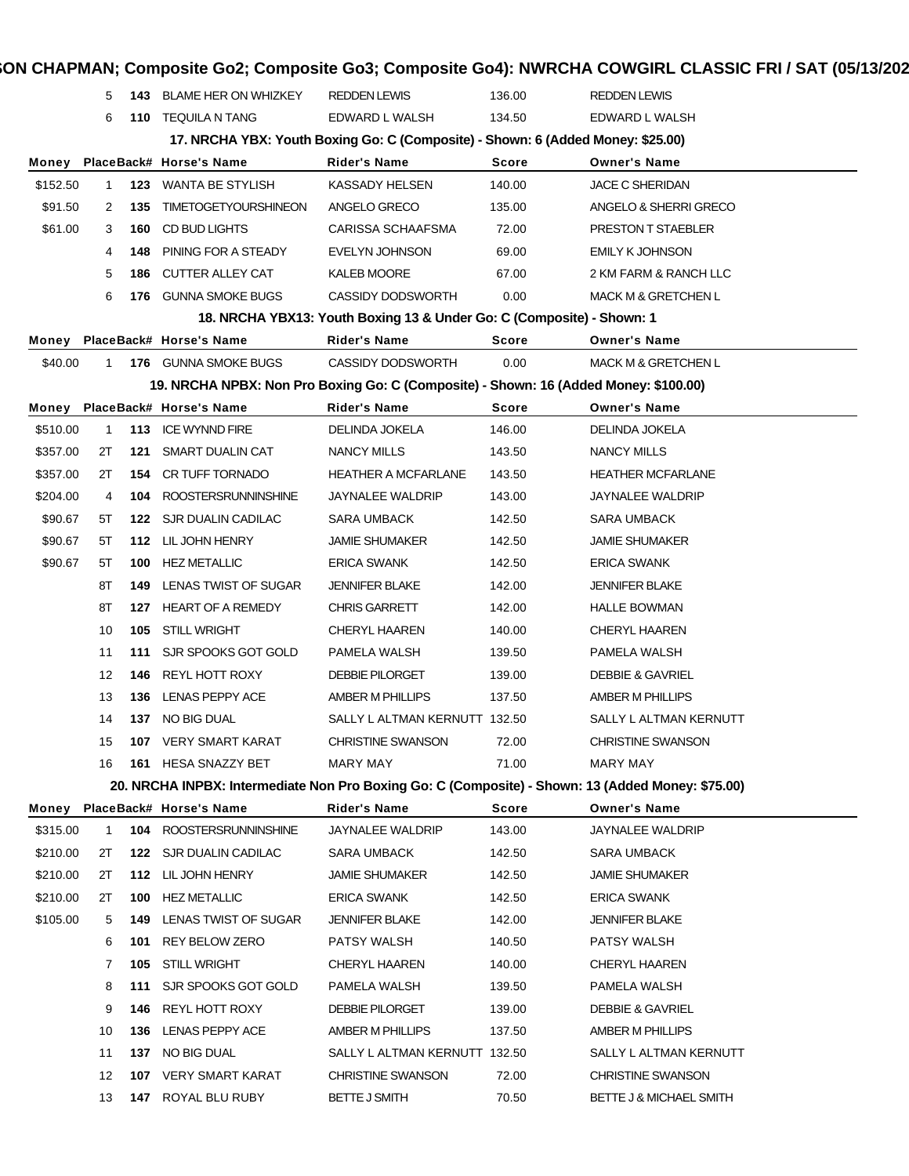|          | 5           | 143 | <b>BLAME HER ON WHIZKEY</b> | <b>REDDEN LEWIS</b>                                                                               | 136.00       | REDDEN LEWIS                   |
|----------|-------------|-----|-----------------------------|---------------------------------------------------------------------------------------------------|--------------|--------------------------------|
|          | 6           | 110 | TEQUILA N TANG              | EDWARD L WALSH                                                                                    | 134.50       | EDWARD L WALSH                 |
|          |             |     |                             | 17. NRCHA YBX: Youth Boxing Go: C (Composite) - Shown: 6 (Added Money: \$25.00)                   |              |                                |
| Money    |             |     | PlaceBack# Horse's Name     | Rider's Name                                                                                      | <b>Score</b> | <b>Owner's Name</b>            |
| \$152.50 | $\mathbf 1$ |     | 123 WANTA BE STYLISH        | <b>KASSADY HELSEN</b>                                                                             | 140.00       | <b>JACE C SHERIDAN</b>         |
| \$91.50  | 2           | 135 | <b>TIMETOGETYOURSHINEON</b> | ANGELO GRECO                                                                                      | 135.00       | ANGELO & SHERRI GRECO          |
| \$61.00  | 3           | 160 | CD BUD LIGHTS               | CARISSA SCHAAFSMA                                                                                 | 72.00        | PRESTON T STAEBLER             |
|          | 4           | 148 | PINING FOR A STEADY         | <b>EVELYN JOHNSON</b>                                                                             | 69.00        | <b>EMILY K JOHNSON</b>         |
|          | 5           | 186 | CUTTER ALLEY CAT            | <b>KALEB MOORE</b>                                                                                | 67.00        | 2 KM FARM & RANCH LLC          |
|          | 6           | 176 | <b>GUNNA SMOKE BUGS</b>     | <b>CASSIDY DODSWORTH</b>                                                                          | 0.00         | <b>MACK M &amp; GRETCHEN L</b> |
|          |             |     |                             | 18. NRCHA YBX13: Youth Boxing 13 & Under Go: C (Composite) - Shown: 1                             |              |                                |
| Money    |             |     | PlaceBack# Horse's Name     | <b>Rider's Name</b>                                                                               | <b>Score</b> | <b>Owner's Name</b>            |
| \$40.00  | 1           |     | 176 GUNNA SMOKE BUGS        | <b>CASSIDY DODSWORTH</b>                                                                          | 0.00         | MACK M & GRETCHEN L            |
|          |             |     |                             | 19. NRCHA NPBX: Non Pro Boxing Go: C (Composite) - Shown: 16 (Added Money: \$100.00)              |              |                                |
| Money    |             |     | PlaceBack# Horse's Name     | Rider's Name                                                                                      | <b>Score</b> | <b>Owner's Name</b>            |
| \$510.00 | 1           | 113 | ICE WYNND FIRE              | <b>DELINDA JOKELA</b>                                                                             | 146.00       | <b>DELINDA JOKELA</b>          |
| \$357.00 | 2T          |     | <b>121 SMART DUALIN CAT</b> | NANCY MILLS                                                                                       | 143.50       | NANCY MILLS                    |
| \$357.00 | 2T          | 154 | CR TUFF TORNADO             | <b>HEATHER A MCFARLANE</b>                                                                        | 143.50       | <b>HEATHER MCFARLANE</b>       |
| \$204.00 | 4           | 104 | <b>ROOSTERSRUNNINSHINE</b>  | <b>JAYNALEE WALDRIP</b>                                                                           | 143.00       | <b>JAYNALEE WALDRIP</b>        |
| \$90.67  | 5T          |     | 122 SJR DUALIN CADILAC      | <b>SARA UMBACK</b>                                                                                | 142.50       | <b>SARA UMBACK</b>             |
| \$90.67  | 5Т          |     | 112 LIL JOHN HENRY          | <b>JAMIE SHUMAKER</b>                                                                             | 142.50       | <b>JAMIE SHUMAKER</b>          |
| \$90.67  | 5T          | 100 | <b>HEZ METALLIC</b>         | <b>ERICA SWANK</b>                                                                                | 142.50       | ERICA SWANK                    |
|          | 8Τ          | 149 | LENAS TWIST OF SUGAR        | <b>JENNIFER BLAKE</b>                                                                             | 142.00       | <b>JENNIFER BLAKE</b>          |
|          | 8Τ          |     | 127 HEART OF A REMEDY       | <b>CHRIS GARRETT</b>                                                                              | 142.00       | <b>HALLE BOWMAN</b>            |
|          | 10          | 105 | STILL WRIGHT                | <b>CHERYL HAAREN</b>                                                                              | 140.00       | <b>CHERYL HAAREN</b>           |
|          | 11          | 111 | SJR SPOOKS GOT GOLD         | PAMELA WALSH                                                                                      | 139.50       | PAMELA WALSH                   |
|          | 12          | 146 | <b>REYL HOTT ROXY</b>       | <b>DEBBIE PILORGET</b>                                                                            | 139.00       | <b>DEBBIE &amp; GAVRIEL</b>    |
|          | 13          | 136 | LENAS PEPPY ACE             | <b>AMBER M PHILLIPS</b>                                                                           | 137.50       | <b>AMBER M PHILLIPS</b>        |
|          | 14          |     | 137 NO BIG DUAL             | SALLY L ALTMAN KERNUTT 132.50                                                                     |              | SALLY L ALTMAN KERNUTT         |
|          | 15          |     | 107 VERY SMART KARAT        | <b>CHRISTINE SWANSON</b>                                                                          | 72.00        | <b>CHRISTINE SWANSON</b>       |
|          | 16          |     | 161 HESA SNAZZY BET         | MARY MAY                                                                                          | 71.00        | <b>MARY MAY</b>                |
|          |             |     |                             | 20. NRCHA INPBX: Intermediate Non Pro Boxing Go: C (Composite) - Shown: 13 (Added Money: \$75.00) |              |                                |
| Money    |             |     | PlaceBack# Horse's Name     | <b>Rider's Name</b>                                                                               | Score        | <b>Owner's Name</b>            |
| \$315.00 | 1           | 104 | <b>ROOSTERSRUNNINSHINE</b>  | JAYNALEE WALDRIP                                                                                  | 143.00       | <b>JAYNALEE WALDRIP</b>        |
| \$210.00 | 2T          |     | 122 SJR DUALIN CADILAC      | <b>SARA UMBACK</b>                                                                                | 142.50       | <b>SARA UMBACK</b>             |
| \$210.00 | 2T          |     | 112 LIL JOHN HENRY          | <b>JAMIE SHUMAKER</b>                                                                             | 142.50       | <b>JAMIE SHUMAKER</b>          |
| \$210.00 | 2T          | 100 | <b>HEZ METALLIC</b>         | <b>ERICA SWANK</b>                                                                                | 142.50       | <b>ERICA SWANK</b>             |
| \$105.00 | 5           | 149 | LENAS TWIST OF SUGAR        | <b>JENNIFER BLAKE</b>                                                                             | 142.00       | <b>JENNIFER BLAKE</b>          |
|          | 6           | 101 | REY BELOW ZERO              | PATSY WALSH                                                                                       | 140.50       | PATSY WALSH                    |
|          | 7           | 105 | <b>STILL WRIGHT</b>         | <b>CHERYL HAAREN</b>                                                                              | 140.00       | <b>CHERYL HAAREN</b>           |
|          | 8           | 111 | SJR SPOOKS GOT GOLD         | PAMELA WALSH                                                                                      | 139.50       | PAMELA WALSH                   |
|          | 9           | 146 | REYL HOTT ROXY              | <b>DEBBIE PILORGET</b>                                                                            | 139.00       | <b>DEBBIE &amp; GAVRIEL</b>    |
|          | 10          | 136 | LENAS PEPPY ACE             | AMBER M PHILLIPS                                                                                  | 137.50       | AMBER M PHILLIPS               |
|          | 11          |     | 137 NO BIG DUAL             | SALLY L ALTMAN KERNUTT 132.50                                                                     |              | SALLY L ALTMAN KERNUTT         |
|          | 12          |     | 107 VERY SMART KARAT        | CHRISTINE SWANSON                                                                                 | 72.00        | CHRISTINE SWANSON              |
|          | 13          |     | 147 ROYAL BLU RUBY          | BETTE J SMITH                                                                                     | 70.50        | BETTE J & MICHAEL SMITH        |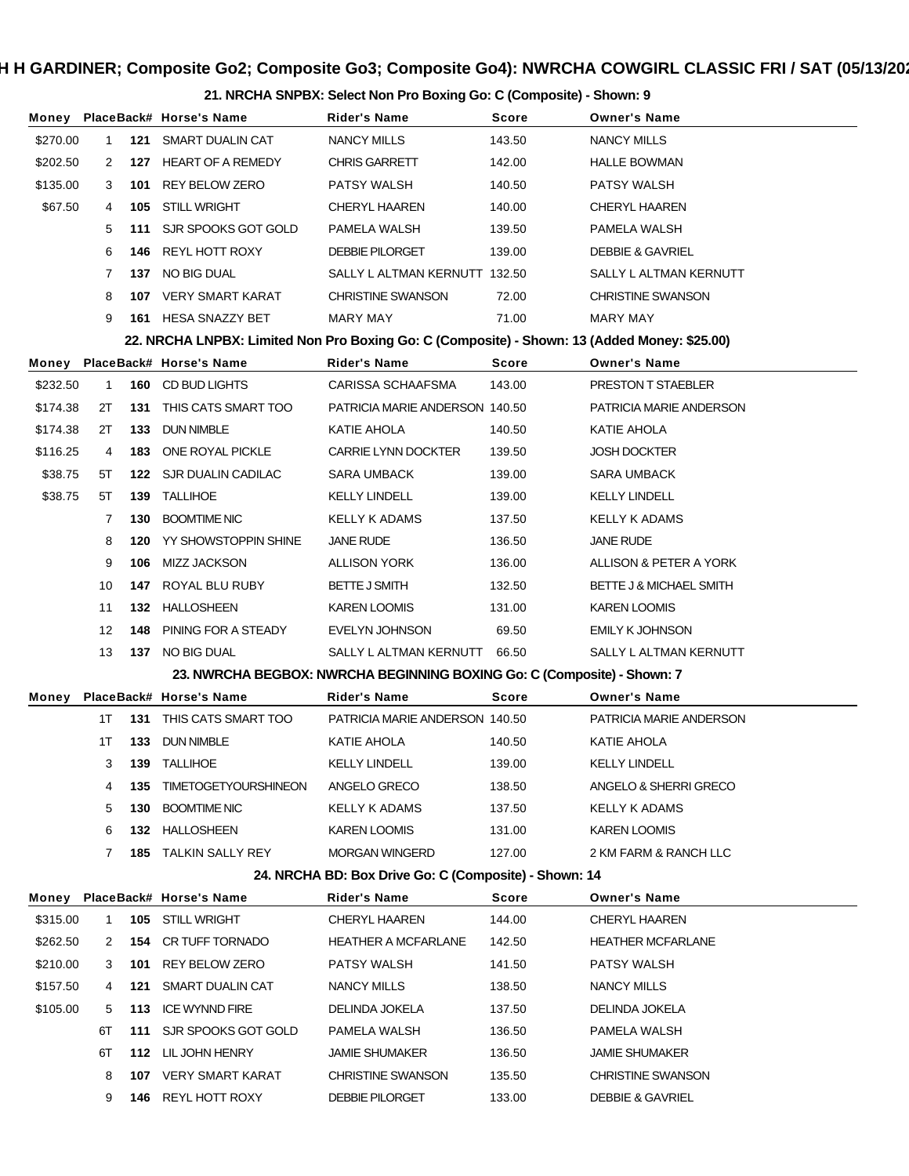# H H GARDINER; Composite Go2; Composite Go3; Composite Go4): NWRCHA COWGIRL CLASSIC FRI / SAT (05/13/20<mark>:</mark>

**21. NRCHA SNPBX: Select Non Pro Boxing Go: C (Composite) - Shown: 9**

| Money    |             |     | PlaceBack# Horse's Name                                                                      | Rider's Name                                                            | Score  | <b>Owner's Name</b>         |
|----------|-------------|-----|----------------------------------------------------------------------------------------------|-------------------------------------------------------------------------|--------|-----------------------------|
| \$270.00 | $\mathbf 1$ | 121 | SMART DUALIN CAT                                                                             | <b>NANCY MILLS</b>                                                      | 143.50 | <b>NANCY MILLS</b>          |
| \$202.50 | 2           |     | 127 HEART OF A REMEDY                                                                        | <b>CHRIS GARRETT</b>                                                    | 142.00 | <b>HALLE BOWMAN</b>         |
| \$135.00 | 3           | 101 | <b>REY BELOW ZERO</b>                                                                        | PATSY WALSH                                                             | 140.50 | PATSY WALSH                 |
| \$67.50  | 4           | 105 | STILL WRIGHT                                                                                 | <b>CHERYL HAAREN</b>                                                    | 140.00 | <b>CHERYL HAAREN</b>        |
|          | 5           | 111 | SJR SPOOKS GOT GOLD                                                                          | PAMELA WALSH                                                            | 139.50 | PAMELA WALSH                |
|          | 6           | 146 | REYL HOTT ROXY                                                                               | <b>DEBBIE PILORGET</b>                                                  | 139.00 | <b>DEBBIE &amp; GAVRIEL</b> |
|          | 7           |     | 137 NO BIG DUAL                                                                              | SALLY L ALTMAN KERNUTT 132.50                                           |        | SALLY L ALTMAN KERNUTT      |
|          | 8           |     | 107 VERY SMART KARAT                                                                         | <b>CHRISTINE SWANSON</b>                                                | 72.00  | <b>CHRISTINE SWANSON</b>    |
|          | 9           |     | 161 HESA SNAZZY BET                                                                          | MARY MAY                                                                | 71.00  | MARY MAY                    |
|          |             |     | 22. NRCHA LNPBX: Limited Non Pro Boxing Go: C (Composite) - Shown: 13 (Added Money: \$25.00) |                                                                         |        |                             |
| Money    |             |     | PlaceBack# Horse's Name                                                                      | Rider's Name                                                            | Score  | <b>Owner's Name</b>         |
| \$232.50 | 1           | 160 | CD BUD LIGHTS                                                                                | CARISSA SCHAAFSMA                                                       | 143.00 | PRESTON T STAEBLER          |
| \$174.38 | 2Τ          | 131 | THIS CATS SMART TOO                                                                          | PATRICIA MARIE ANDERSON 140.50                                          |        | PATRICIA MARIE ANDERSON     |
| \$174.38 | 2Τ          | 133 | <b>DUN NIMBLE</b>                                                                            | KATIE AHOLA                                                             | 140.50 | KATIE AHOLA                 |
| \$116.25 | 4           | 183 | ONE ROYAL PICKLE                                                                             | <b>CARRIE LYNN DOCKTER</b>                                              | 139.50 | <b>JOSH DOCKTER</b>         |
| \$38.75  | 5Τ          |     | 122 SJR DUALIN CADILAC                                                                       | SARA UMBACK                                                             | 139.00 | SARA UMBACK                 |
| \$38.75  | 5T          | 139 | TALLIHOE                                                                                     | <b>KELLY LINDELL</b>                                                    | 139.00 | <b>KELLY LINDELL</b>        |
|          | 7           | 130 | <b>BOOMTIME NIC</b>                                                                          | <b>KELLY K ADAMS</b>                                                    | 137.50 | <b>KELLY K ADAMS</b>        |
|          | 8           | 120 | YY SHOWSTOPPIN SHINE                                                                         | JANE RUDE                                                               | 136.50 | <b>JANE RUDE</b>            |
|          | 9           | 106 | MIZZ JACKSON                                                                                 | ALLISON YORK                                                            | 136.00 | ALLISON & PETER A YORK      |
|          | 10          | 147 | ROYAL BLU RUBY                                                                               | <b>BETTE J SMITH</b>                                                    | 132.50 | BETTE J & MICHAEL SMITH     |
|          | 11          |     | 132 HALLOSHEEN                                                                               | KAREN LOOMIS                                                            | 131.00 | <b>KAREN LOOMIS</b>         |
|          | 12          | 148 | PINING FOR A STEADY                                                                          | <b>EVELYN JOHNSON</b>                                                   | 69.50  | <b>EMILY K JOHNSON</b>      |
|          | 13          |     | 137 NO BIG DUAL                                                                              | SALLY L ALTMAN KERNUTT                                                  | 66.50  | SALLY L ALTMAN KERNUTT      |
|          |             |     |                                                                                              | 23. NWRCHA BEGBOX: NWRCHA BEGINNING BOXING Go: C (Composite) - Shown: 7 |        |                             |
| Money    |             |     | PlaceBack# Horse's Name                                                                      | <b>Rider's Name</b>                                                     | Score  | <b>Owner's Name</b>         |
|          | 1T          | 131 | THIS CATS SMART TOO                                                                          | PATRICIA MARIE ANDERSON 140.50                                          |        | PATRICIA MARIE ANDERSON     |
|          | 1T          | 133 | DUN NIMBLE                                                                                   | KATIE AHOLA                                                             | 140.50 | KATIE AHOLA                 |
|          | 3           |     | 139 TALLIHOE                                                                                 | <b>KELLY LINDELL</b>                                                    | 139.00 | <b>KELLY LINDELL</b>        |
|          | 4           | 135 | <b>TIMETOGETYOURSHINEON</b>                                                                  | ANGELO GRECO                                                            | 138.50 | ANGELO & SHERRI GRECO       |
|          | 5           | 130 | <b>BOOMTIME NIC</b>                                                                          | KELLY K ADAMS                                                           | 137.50 | <b>KELLY K ADAMS</b>        |
|          | 6           |     | 132 HALLOSHEEN                                                                               | KAREN LOOMIS                                                            | 131.00 | <b>KAREN LOOMIS</b>         |
|          | 7           |     | 185 TALKIN SALLY REY                                                                         | <b>MORGAN WINGERD</b>                                                   | 127.00 | 2 KM FARM & RANCH LLC       |
|          |             |     |                                                                                              | 24. NRCHA BD: Box Drive Go: C (Composite) - Shown: 14                   |        |                             |
| Money    |             |     | PlaceBack# Horse's Name                                                                      | <b>Rider's Name</b>                                                     | Score  | <b>Owner's Name</b>         |
| \$315.00 | 1           |     | 105 STILL WRIGHT                                                                             | <b>CHERYL HAAREN</b>                                                    | 144.00 | CHERYL HAAREN               |
| \$262.50 | 2           | 154 | CR TUFF TORNADO                                                                              | <b>HEATHER A MCFARLANE</b>                                              | 142.50 | <b>HEATHER MCFARLANE</b>    |
| \$210.00 | 3           | 101 | <b>REY BELOW ZERO</b>                                                                        | PATSY WALSH                                                             | 141.50 | PATSY WALSH                 |
| \$157.50 | 4           | 121 | SMART DUALIN CAT                                                                             | NANCY MILLS                                                             | 138.50 | NANCY MILLS                 |
| \$105.00 | 5           | 113 | <b>ICE WYNND FIRE</b>                                                                        | DELINDA JOKELA                                                          | 137.50 | DELINDA JOKELA              |
|          | 6T          | 111 | SJR SPOOKS GOT GOLD                                                                          | PAMELA WALSH                                                            | 136.50 | PAMELA WALSH                |
|          | 6T          |     | 112 LIL JOHN HENRY                                                                           | <b>JAMIE SHUMAKER</b>                                                   | 136.50 | <b>JAMIE SHUMAKER</b>       |
|          | 8           |     | 107 VERY SMART KARAT                                                                         | <b>CHRISTINE SWANSON</b>                                                | 135.50 | <b>CHRISTINE SWANSON</b>    |
|          | 9           |     | <b>146 REYL HOTT ROXY</b>                                                                    | <b>DEBBIE PILORGET</b>                                                  | 133.00 | <b>DEBBIE &amp; GAVRIEL</b> |